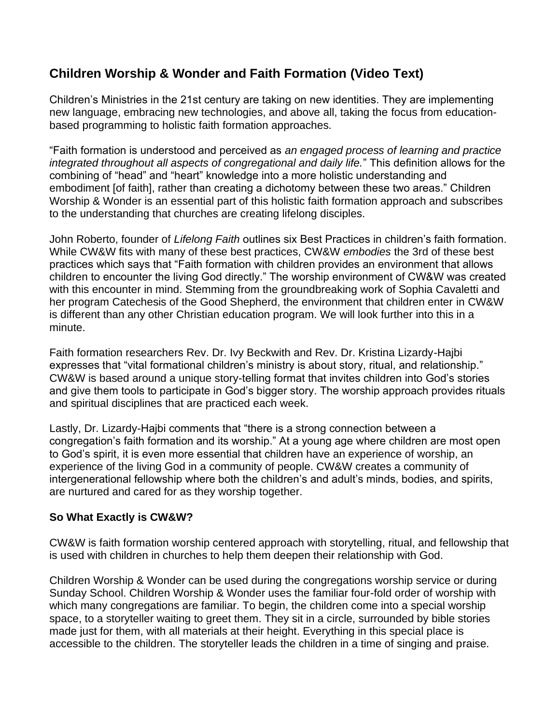## **Children Worship & Wonder and Faith Formation (Video Text)**

Children's Ministries in the 21st century are taking on new identities. They are implementing new language, embracing new technologies, and above all, taking the focus from educationbased programming to holistic faith formation approaches.

"Faith formation is understood and perceived as *an engaged process of learning and practice integrated throughout all aspects of congregational and daily life.*" This definition allows for the combining of "head" and "heart" knowledge into a more holistic understanding and embodiment [of faith], rather than creating a dichotomy between these two areas." Children Worship & Wonder is an essential part of this holistic faith formation approach and subscribes to the understanding that churches are creating lifelong disciples.

John Roberto, founder of *Lifelong Faith* outlines six Best Practices in children's faith formation. While CW&W fits with many of these best practices, CW&W *embodies* the 3rd of these best practices which says that "Faith formation with children provides an environment that allows children to encounter the living God directly." The worship environment of CW&W was created with this encounter in mind. Stemming from the groundbreaking work of Sophia Cavaletti and her program Catechesis of the Good Shepherd, the environment that children enter in CW&W is different than any other Christian education program. We will look further into this in a minute.

Faith formation researchers Rev. Dr. Ivy Beckwith and Rev. Dr. Kristina Lizardy-Hajbi expresses that "vital formational children's ministry is about story, ritual, and relationship." CW&W is based around a unique story-telling format that invites children into God's stories and give them tools to participate in God's bigger story. The worship approach provides rituals and spiritual disciplines that are practiced each week.

Lastly, Dr. Lizardy-Hajbi comments that "there is a strong connection between a congregation's faith formation and its worship." At a young age where children are most open to God's spirit, it is even more essential that children have an experience of worship, an experience of the living God in a community of people. CW&W creates a community of intergenerational fellowship where both the children's and adult's minds, bodies, and spirits, are nurtured and cared for as they worship together.

## **So What Exactly is CW&W?**

CW&W is faith formation worship centered approach with storytelling, ritual, and fellowship that is used with children in churches to help them deepen their relationship with God.

Children Worship & Wonder can be used during the congregations worship service or during Sunday School. Children Worship & Wonder uses the familiar four-fold order of worship with which many congregations are familiar. To begin, the children come into a special worship space, to a storyteller waiting to greet them. They sit in a circle, surrounded by bible stories made just for them, with all materials at their height. Everything in this special place is accessible to the children. The storyteller leads the children in a time of singing and praise.